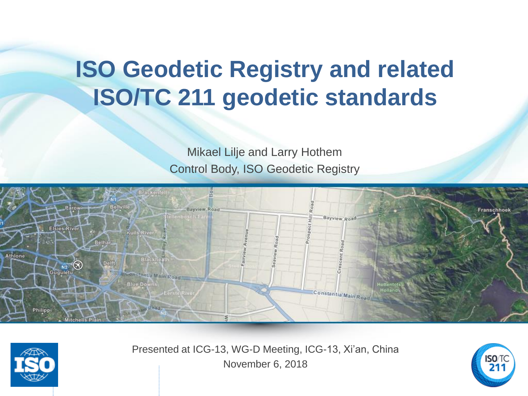# **ISO Geodetic Registry and related ISO/TC 211 geodetic standards**

Mikael Lilje and Larry Hothem Control Body, ISO Geodetic Registry





Presented at ICG-13, WG-D Meeting, ICG-13, Xi'an, China November 6, 2018

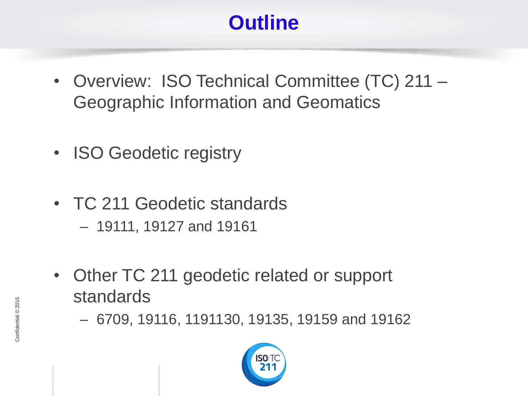## **Outline**

- Overview: ISO Technical Committee (TC) 211 Geographic Information and Geomatics
- ISO Geodetic registry
- TC 211 Geodetic standards
	- 19111, 19127 and 19161
- Other TC 211 geodetic related or support standards
	- 6709, 19116, 1191130, 19135, 19159 and 19162

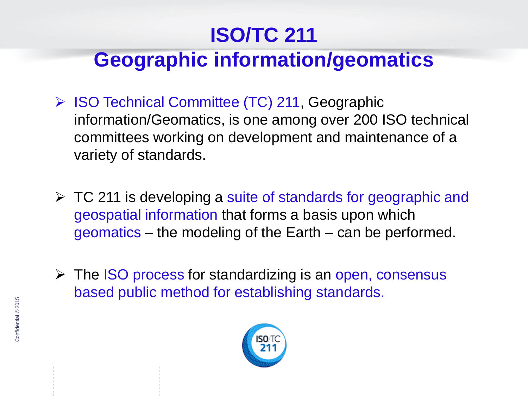## **ISO/TC 211**

## **Geographic information/geomatics**

- ➢ ISO Technical Committee (TC) 211, Geographic information/Geomatics, is one among over 200 ISO technical committees working on development and maintenance of a variety of standards.
- ➢ TC 211 is developing a suite of standards for geographic and geospatial information that forms a basis upon which geomatics – the modeling of the Earth – can be performed.
- ➢ The ISO process for standardizing is an open, consensus based public method for establishing standards.

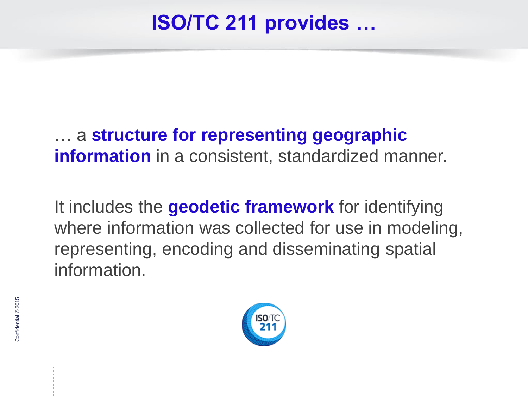### **ISO/TC 211 provides …**

#### … a **structure for representing geographic information** in a consistent, standardized manner.

It includes the **geodetic framework** for identifying where information was collected for use in modeling, representing, encoding and disseminating spatial information.

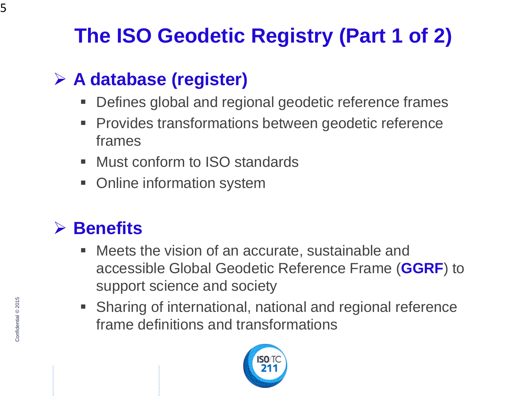## **The ISO Geodetic Registry (Part 1 of 2)**

### ➢ **A database (register)**

- Defines global and regional geodetic reference frames
- Provides transformations between geodetic reference frames
- Must conform to ISO standards
- Online information system

#### ➢ **Benefits**

- Meets the vision of an accurate, sustainable and accessible Global Geodetic Reference Frame (**GGRF**) to support science and society
- Sharing of international, national and regional reference frame definitions and transformations

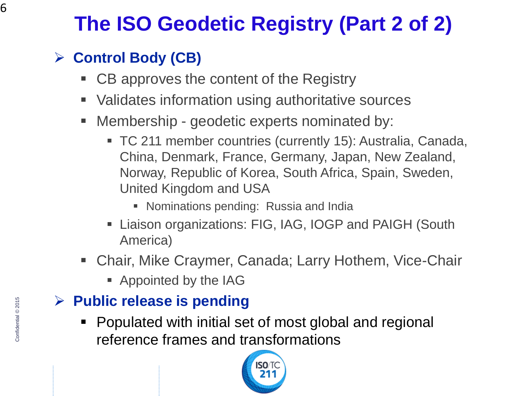## **The ISO Geodetic Registry (Part 2 of 2)**

#### ➢ **Control Body (CB)**

- CB approves the content of the Registry
- Validates information using authoritative sources
- Membership geodetic experts nominated by:
	- TC 211 member countries (currently 15): Australia, Canada, China, Denmark, France, Germany, Japan, New Zealand, Norway, Republic of Korea, South Africa, Spain, Sweden, United Kingdom and USA
		- Nominations pending: Russia and India
	- **EXECT:** Liaison organizations: FIG, IAG, IOGP and PAIGH (South America)
- Chair, Mike Craymer, Canada; Larry Hothem, Vice-Chair
	- Appointed by the IAG

#### ➢ **Public release is pending**

Populated with initial set of most global and regional reference frames and transformations

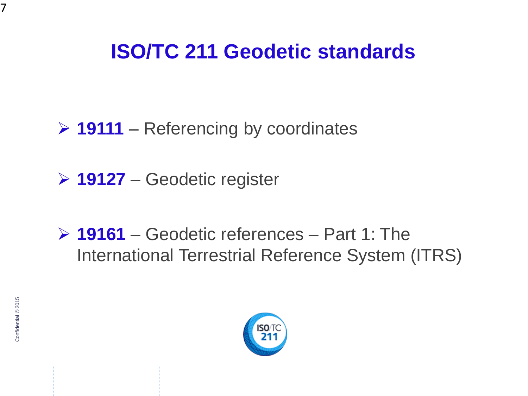### **ISO/TC 211 Geodetic standards**

➢ **19111** – Referencing by coordinates

➢ **19127** – Geodetic register

➢ **19161** – Geodetic references – Part 1: The International Terrestrial Reference System (ITRS)



7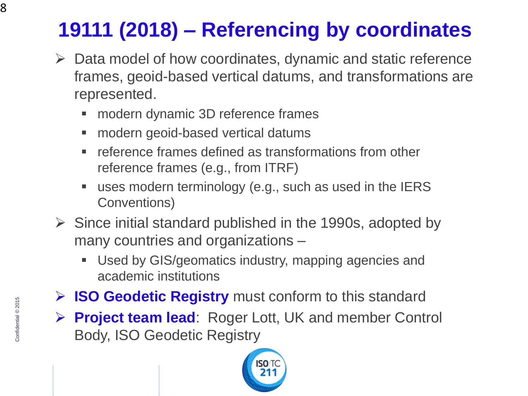## **19111 (2018) – Referencing by coordinates**

- $\triangleright$  Data model of how coordinates, dynamic and static reference frames, geoid-based vertical datums, and transformations are represented.
	- modern dynamic 3D reference frames
	- modern geoid-based vertical datums
	- reference frames defined as transformations from other reference frames (e.g., from ITRF)
	- uses modern terminology (e.g., such as used in the IERS Conventions)
- $\triangleright$  Since initial standard published in the 1990s, adopted by many countries and organizations –
	- Used by GIS/geomatics industry, mapping agencies and academic institutions
- ➢ **ISO Geodetic Registry** must conform to this standard
- ➢ **Project team lead**: Roger Lott, UK and member Control Body, ISO Geodetic Registry

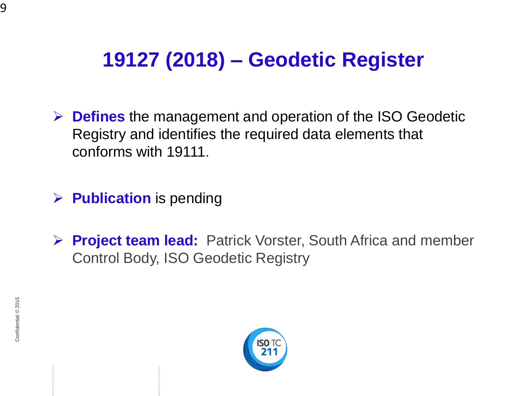## **19127 (2018) – Geodetic Register**

➢ **Defines** the management and operation of the ISO Geodetic Registry and identifies the required data elements that conforms with 19111.

➢ **Publication** is pending

➢ **Project team lead:** Patrick Vorster, South Africa and member Control Body, ISO Geodetic Registry

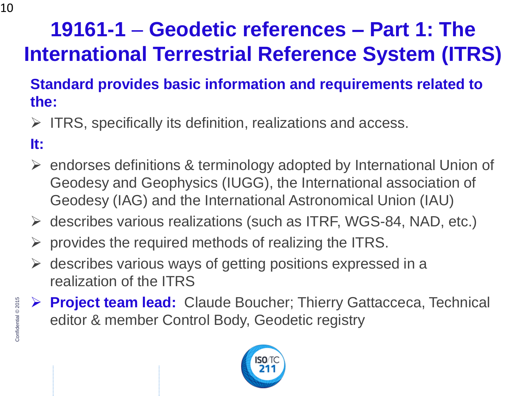## **19161-1** – **Geodetic references – Part 1: The International Terrestrial Reference System (ITRS)**

#### **Standard provides basic information and requirements related to the:**

- $\triangleright$  ITRS, specifically its definition, realizations and access.
- **It:**
- ➢ endorses definitions & terminology adopted by International Union of Geodesy and Geophysics (IUGG), the International association of Geodesy (IAG) and the International Astronomical Union (IAU)
- ➢ describes various realizations (such as ITRF, WGS-84, NAD, etc.)
- $\triangleright$  provides the required methods of realizing the ITRS.
- $\triangleright$  describes various ways of getting positions expressed in a realization of the ITRS
- ➢ **Project team lead:** Claude Boucher; Thierry Gattacceca, Technical editor & member Control Body, Geodetic registry

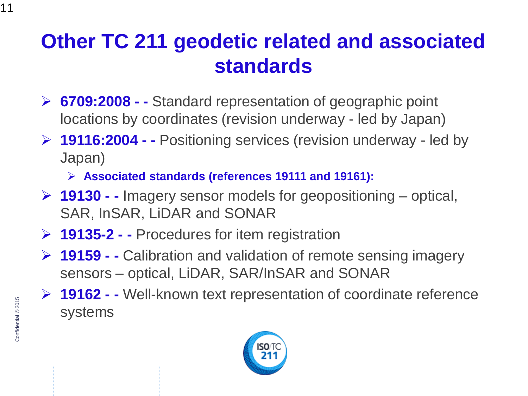### **Other TC 211 geodetic related and associated standards**

- ➢ **6709:2008 - -** Standard representation of geographic point locations by coordinates (revision underway - led by Japan)
- ➢ **19116:2004 - -** Positioning services (revision underway led by Japan)
	- ➢ **Associated standards (references 19111 and 19161):**
- ➢ **19130 - -** Imagery sensor models for geopositioning optical, SAR, InSAR, LiDAR and SONAR
- ➢ **19135-2 - -** Procedures for item registration
- ➢ **19159 - -** Calibration and validation of remote sensing imagery sensors – optical, LiDAR, SAR/InSAR and SONAR
- ➢ **19162 - -** Well-known text representation of coordinate reference systems